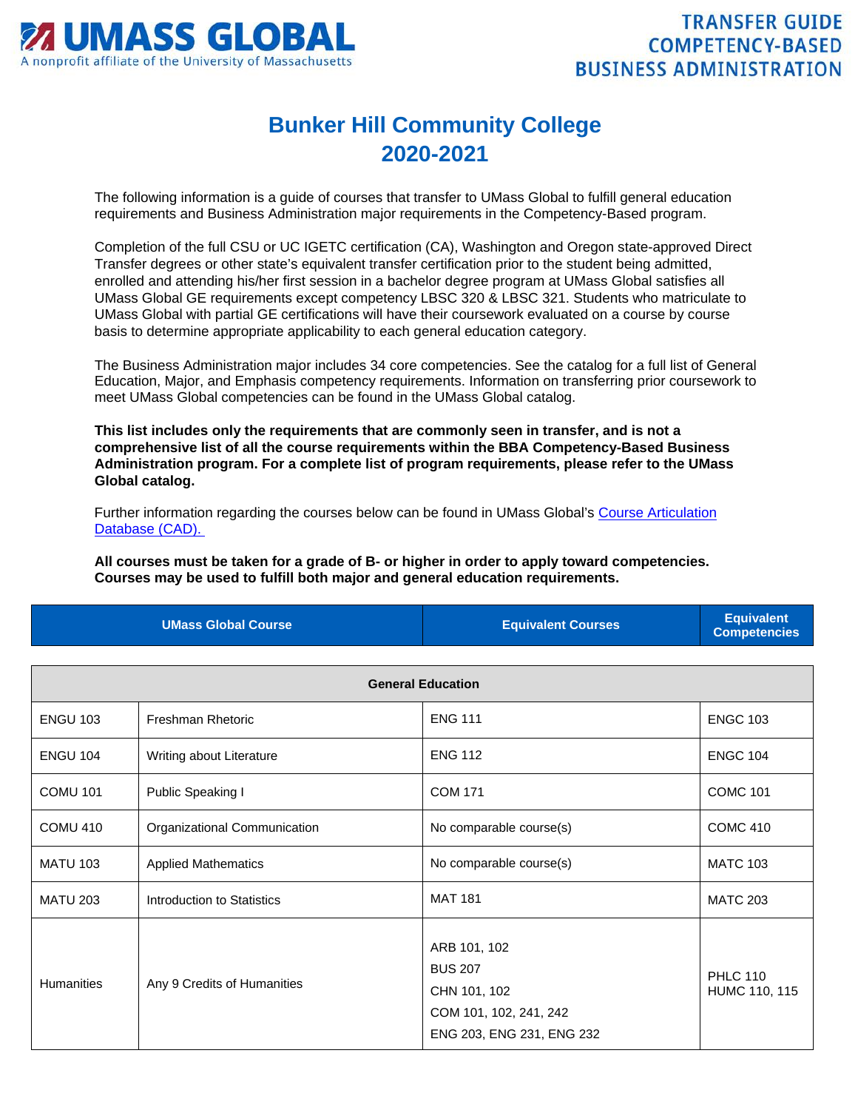

## **Bunker Hill Community College 2020-2021**

The following information is a guide of courses that transfer to UMass Global to fulfill general education requirements and Business Administration major requirements in the Competency-Based program.

Completion of the full CSU or UC IGETC certification (CA), Washington and Oregon state-approved Direct Transfer degrees or other state's equivalent transfer certification prior to the student being admitted, enrolled and attending his/her first session in a bachelor degree program at UMass Global satisfies all UMass Global GE requirements except competency LBSC 320 & LBSC 321. Students who matriculate to UMass Global with partial GE certifications will have their coursework evaluated on a course by course basis to determine appropriate applicability to each general education category.

The Business Administration major includes 34 core competencies. See the catalog for a full list of General Education, Major, and Emphasis competency requirements. Information on transferring prior coursework to meet UMass Global competencies can be found in the UMass Global catalog.

**This list includes only the requirements that are commonly seen in transfer, and is not a comprehensive list of all the course requirements within the BBA Competency-Based Business Administration program. For a complete list of program requirements, please refer to the UMass Global catalog.**

Further information regarding the courses below can be found in UMass Global's [Course Articulation](http://services.umassglobal.edu/studentservices/TransferCredit/)  [Database \(CAD\).](http://services.umassglobal.edu/studentservices/TransferCredit/) 

**All courses must be taken for a grade of B- or higher in order to apply toward competencies. Courses may be used to fulfill both major and general education requirements.** 

| <b>UMass Global Course</b> | <b>Equivalent Courses</b> | <b>Equivalent</b><br><b>Competencies</b> |
|----------------------------|---------------------------|------------------------------------------|
|                            |                           |                                          |

| <b>General Education</b> |                              |                                                                                                       |                                  |
|--------------------------|------------------------------|-------------------------------------------------------------------------------------------------------|----------------------------------|
| <b>ENGU 103</b>          | <b>Freshman Rhetoric</b>     | <b>ENG 111</b>                                                                                        | <b>ENGC 103</b>                  |
| <b>ENGU 104</b>          | Writing about Literature     | <b>ENG 112</b>                                                                                        | <b>ENGC 104</b>                  |
| <b>COMU 101</b>          | Public Speaking I            | <b>COM 171</b>                                                                                        | <b>COMC 101</b>                  |
| <b>COMU 410</b>          | Organizational Communication | No comparable course(s)                                                                               | <b>COMC 410</b>                  |
| <b>MATU 103</b>          | <b>Applied Mathematics</b>   | No comparable course(s)                                                                               | <b>MATC 103</b>                  |
| <b>MATU 203</b>          | Introduction to Statistics   | <b>MAT 181</b>                                                                                        | <b>MATC 203</b>                  |
| <b>Humanities</b>        | Any 9 Credits of Humanities  | ARB 101, 102<br><b>BUS 207</b><br>CHN 101, 102<br>COM 101, 102, 241, 242<br>ENG 203, ENG 231, ENG 232 | <b>PHLC 110</b><br>HUMC 110, 115 |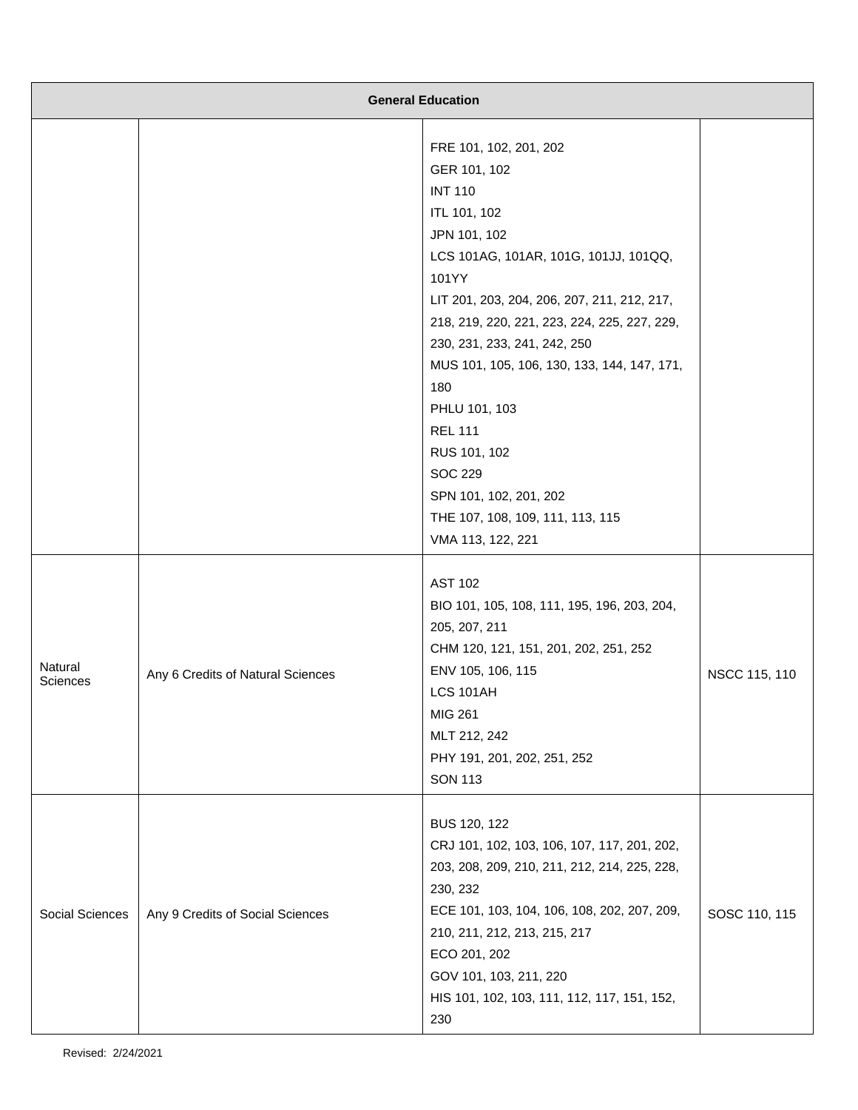| <b>General Education</b>   |                                   |                                                                                                                                                                                                                                                                                                                                                                                                                                                                                         |               |
|----------------------------|-----------------------------------|-----------------------------------------------------------------------------------------------------------------------------------------------------------------------------------------------------------------------------------------------------------------------------------------------------------------------------------------------------------------------------------------------------------------------------------------------------------------------------------------|---------------|
|                            |                                   | FRE 101, 102, 201, 202<br>GER 101, 102<br><b>INT 110</b><br>ITL 101, 102<br>JPN 101, 102<br>LCS 101AG, 101AR, 101G, 101JJ, 101QQ,<br>101YY<br>LIT 201, 203, 204, 206, 207, 211, 212, 217,<br>218, 219, 220, 221, 223, 224, 225, 227, 229,<br>230, 231, 233, 241, 242, 250<br>MUS 101, 105, 106, 130, 133, 144, 147, 171,<br>180<br>PHLU 101, 103<br><b>REL 111</b><br>RUS 101, 102<br><b>SOC 229</b><br>SPN 101, 102, 201, 202<br>THE 107, 108, 109, 111, 113, 115<br>VMA 113, 122, 221 |               |
| Natural<br><b>Sciences</b> | Any 6 Credits of Natural Sciences | <b>AST 102</b><br>BIO 101, 105, 108, 111, 195, 196, 203, 204,<br>205, 207, 211<br>CHM 120, 121, 151, 201, 202, 251, 252<br>ENV 105, 106, 115<br>LCS 101AH<br>MIG 261<br>MLT 212, 242<br>PHY 191, 201, 202, 251, 252<br><b>SON 113</b>                                                                                                                                                                                                                                                   | NSCC 115, 110 |
| Social Sciences            | Any 9 Credits of Social Sciences  | BUS 120, 122<br>CRJ 101, 102, 103, 106, 107, 117, 201, 202,<br>203, 208, 209, 210, 211, 212, 214, 225, 228,<br>230, 232<br>ECE 101, 103, 104, 106, 108, 202, 207, 209,<br>210, 211, 212, 213, 215, 217<br>ECO 201, 202<br>GOV 101, 103, 211, 220<br>HIS 101, 102, 103, 111, 112, 117, 151, 152,<br>230                                                                                                                                                                                  | SOSC 110, 115 |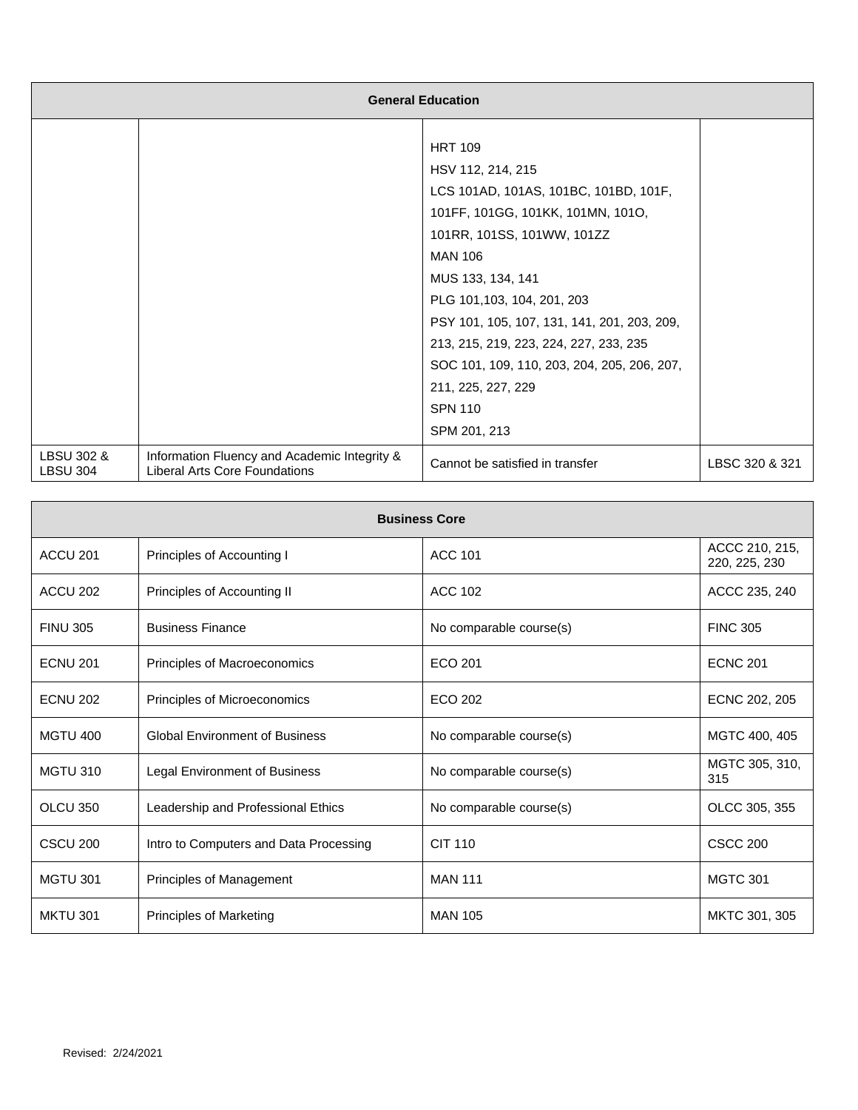| <b>General Education</b>      |                                                                                      |                                             |                |
|-------------------------------|--------------------------------------------------------------------------------------|---------------------------------------------|----------------|
|                               |                                                                                      |                                             |                |
|                               |                                                                                      | <b>HRT 109</b>                              |                |
|                               |                                                                                      | HSV 112, 214, 215                           |                |
|                               |                                                                                      | LCS 101AD, 101AS, 101BC, 101BD, 101F,       |                |
|                               |                                                                                      | 101FF, 101GG, 101KK, 101MN, 101O,           |                |
|                               |                                                                                      | 101RR, 101SS, 101WW, 101ZZ                  |                |
|                               |                                                                                      | <b>MAN 106</b>                              |                |
|                               |                                                                                      | MUS 133, 134, 141                           |                |
|                               |                                                                                      | PLG 101,103, 104, 201, 203                  |                |
|                               |                                                                                      | PSY 101, 105, 107, 131, 141, 201, 203, 209, |                |
|                               |                                                                                      | 213, 215, 219, 223, 224, 227, 233, 235      |                |
|                               |                                                                                      | SOC 101, 109, 110, 203, 204, 205, 206, 207, |                |
|                               |                                                                                      | 211, 225, 227, 229                          |                |
|                               |                                                                                      | <b>SPN 110</b>                              |                |
|                               |                                                                                      | SPM 201, 213                                |                |
| LBSU 302 &<br><b>LBSU 304</b> | Information Fluency and Academic Integrity &<br><b>Liberal Arts Core Foundations</b> | Cannot be satisfied in transfer             | LBSC 320 & 321 |

| <b>Business Core</b> |                                        |                         |                                 |
|----------------------|----------------------------------------|-------------------------|---------------------------------|
| ACCU <sub>201</sub>  | Principles of Accounting I             | <b>ACC 101</b>          | ACCC 210, 215,<br>220, 225, 230 |
| ACCU <sub>202</sub>  | Principles of Accounting II            | <b>ACC 102</b>          | ACCC 235, 240                   |
| <b>FINU 305</b>      | <b>Business Finance</b>                | No comparable course(s) | <b>FINC 305</b>                 |
| <b>ECNU 201</b>      | Principles of Macroeconomics           | ECO 201                 | <b>ECNC 201</b>                 |
| <b>ECNU 202</b>      | Principles of Microeconomics           | ECO 202                 | ECNC 202, 205                   |
| <b>MGTU 400</b>      | <b>Global Environment of Business</b>  | No comparable course(s) | MGTC 400, 405                   |
| <b>MGTU 310</b>      | Legal Environment of Business          | No comparable course(s) | MGTC 305, 310,<br>315           |
| OLCU 350             | Leadership and Professional Ethics     | No comparable course(s) | OLCC 305, 355                   |
| <b>CSCU 200</b>      | Intro to Computers and Data Processing | <b>CIT 110</b>          | <b>CSCC 200</b>                 |
| <b>MGTU 301</b>      | Principles of Management               | <b>MAN 111</b>          | <b>MGTC 301</b>                 |
| <b>MKTU 301</b>      | Principles of Marketing                | <b>MAN 105</b>          | MKTC 301, 305                   |